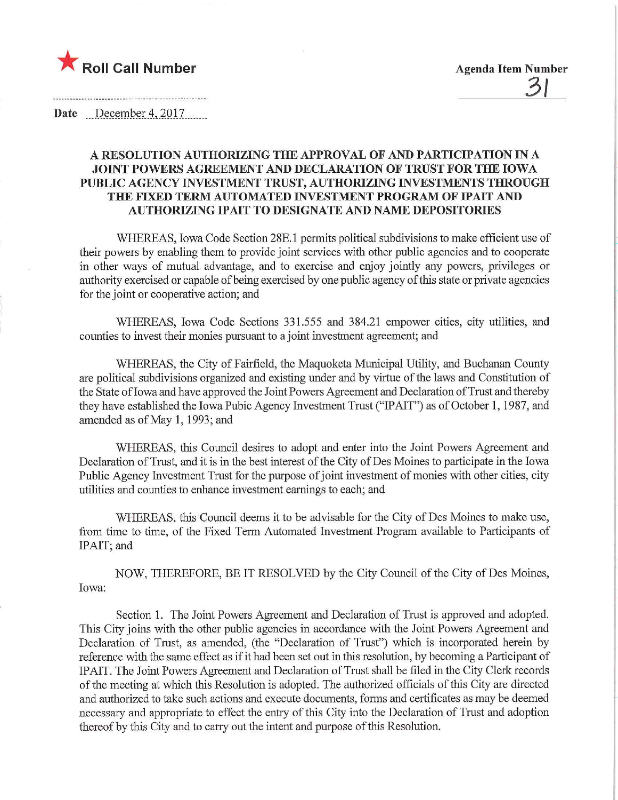

Date December 4, 2017

## A RESOLUTION AUTHORIZING THE APPROVAL OF AND PARTICIPATION IN A JOINT POWERS AGREEMENT AND DECLARATION OF TRUST FOR THE IOWA PUBLIC AGENCY INVESTMENT TRUST, AUTHORIZING INVESTMENTS THROUGH THE FIXED TERM AUTOMATED INVESTMENT PROGRAM OF IPAIT AND AUTHORIZING IPAIT TO DESIGNATE AND NAME DEPOSITORIES

WHEREAS, Iowa Code Section 28E. 1 permits political subdivisions to make efficient use of their powers by enabling them to provide joint services with other public agencies and to cooperate in other ways of mutual advantage, and to exercise and enjoy jointly any powers, privileges or authority exercised or capable of being exercised by one public agency of this state or private agencies for the joint or cooperative action; and

WHEREAS, Iowa Code Sections 331.555 and 384.21 empower cities, city utilities, and counties to invest their monies pursuant to a joint investinent agreement; and

WHEREAS, the City of Fairfield, the Maquoketa Municipal Utility, and Buchanan County are political subdivisions organized and existing under and by virtue of the laws and Constitution of the State of Iowa and have approved the Joint Powers Agreement and Declaration of Trust and thereby they have established the Iowa Pubic Agency Investment Trust ("IPAIT") as of October 1, 1987, and amended as of May 1, 1993; and

WHEREAS, this Council desires to adopt and enter into the Joint Powers Agreement and Declaration of Trust, and it is in the best interest of the City of Des Moines to participate in the Iowa Public Agency Investment Trust for the purpose of joint investment of monies with other cities, city utilities and counties to enhance investment earnings to each; and

WHEREAS, this Council deems it to be advisable for the City of Des Moines to make use, from time to time, of the Fixed Term Automated Investment Program available to Participants of IPAIT; and

NOW, THEREFORE, BE IT RESOLVED by the City Council of the City of Des Moines, Iowa;

Section 1. The Joint Powers Agreement and Declaration of Trust is approved and adopted. This City joins with the other public agencies in accordance with the Joint Powers Agreement and Declaration of Trust, as amended, (the "Declaration of Trust") which is incorporated herein by reference with the same effect as if it had been set out in this resolution, by becoming a Participant of IPAIT. The Joint Powers Agreement and Declaration of Trust shall be filed in the City Clerk records of the meeting at which this Resolution is adopted. The authorized officials of this City are directed and authorized to take such actions and execute documents, forms and certificates as may be deemed necessary and appropriate to effect the entry of this City into the Declaration of Trust and adoption thereof by this City and to carry out the intent and purpose of this Resolution.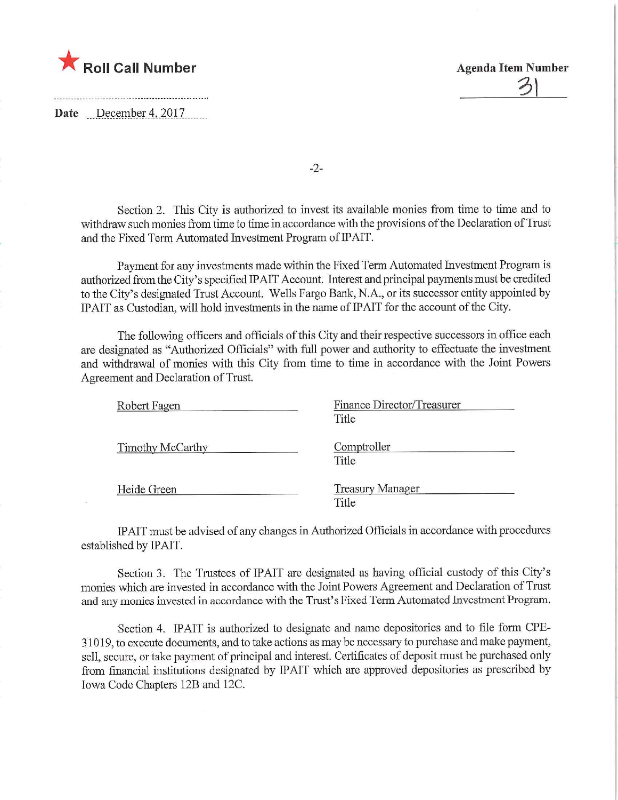

Date December 4, 2017



-2-

Section 2. This City is authorized to invest its available monies from time to time and to withdraw such monies from time to time in accordance with the provisions of the Declaration of Trust and the Fixed Term Automated Investment Program of IPAIT.

Payment for any investments made within the Fixed Term Automated Investment Program is authorized from the City's specified IPAIT Account. Interest and principal payments must be credited to the City's designated Tmst Account. Wells Fargo Bank, N.A., or its successor entity appointed by IPAIT as Custodian, will hold investments in the name of IPAIT for the account of the City.

The following officers and officials of this City and their respective successors in office each are designated as "Authorized Officials" with full power and authority to effectuate the investment and withdrawal of monies with this City from time to time in accordance with the Joint Powers Agreement and Declaration of Trust.

| Robert Fagen     | Finance Director/Treasurer<br>Title |  |  |
|------------------|-------------------------------------|--|--|
| Timothy McCarthy | Comptroller<br>Title                |  |  |
| Heide Green      | <b>Treasury Manager</b><br>Title    |  |  |

IPAIT must be advised of any changes in Authorized Officials in accordance with procedures established by IPAIT.

Section 3. The Trustees of IPAIT are designated as having official custody of this City's monies which are invested in accordance with the Joint Powers Agreement and Declaration of Tmst and any monies invested in accordance with the Trust's Fixed Term Automated Investment Program.

Section 4. IPAIT is authorized to designate and name depositories and to file form CPE-31019, to execute documents, and to take actions as may be necessary to purchase and make payment, sell, secure, or take payment of principal and interest. Certificates of deposit must be purchased only from financial institutions designated by 1PAIT which are approved depositories as prescribed by Iowa Code Chapters 12B and 12C.